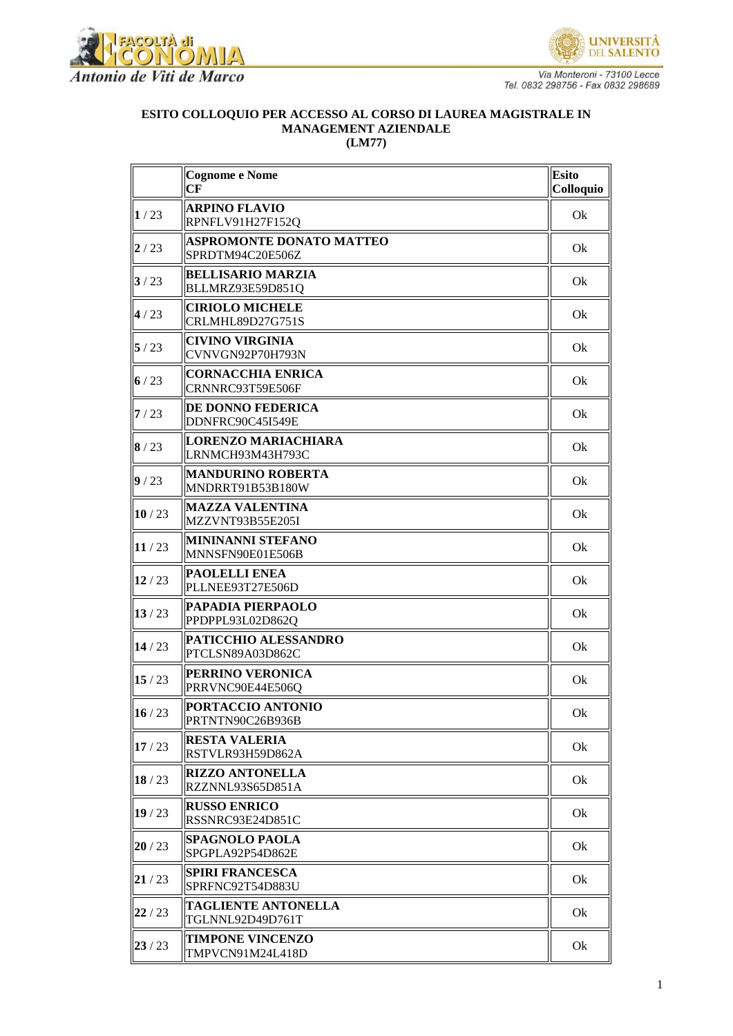



Via Monteroni - 73100 Lecce<br>Tel. 0832 298756 - Fax 0832 298689

## ESITO COLLOQUIO PER ACCESSO AL CORSO DI LAUREA MAGISTRALE IN **MANAGEMENT AZIENDALE**  $(LM77)$

|       | <b>Cognome e Nome</b><br>CF                         | <b>Esito</b><br>Colloquio |
|-------|-----------------------------------------------------|---------------------------|
| 1/23  | <b>ARPINO FLAVIO</b><br>RPNFLV91H27F152Q            | Ok                        |
| 2/23  | <b>ASPROMONTE DONATO MATTEO</b><br>SPRDTM94C20E506Z | Ok                        |
| 3/23  | <b>BELLISARIO MARZIA</b><br>BLLMRZ93E59D851Q        | Ok                        |
| 4/23  | <b>CIRIOLO MICHELE</b><br>CRLMHL89D27G751S          | Ok                        |
| 5/23  | <b>CIVINO VIRGINIA</b><br>CVNVGN92P70H793N          | Ok                        |
| 6/23  | <b>CORNACCHIA ENRICA</b><br>CRNNRC93T59E506F        | Ok                        |
| 7/23  | DE DONNO FEDERICA<br>DDNFRC90C45I549E               | Ok                        |
| 8/23  | LORENZO MARIACHIARA<br>LRNMCH93M43H793C             | Ok                        |
| 9/23  | <b>MANDURINO ROBERTA</b><br>MNDRRT91B53B180W        | Ok                        |
| 10/23 | <b>MAZZA VALENTINA</b><br>MZZVNT93B55E205I          | Ok                        |
| 11/23 | <b>MININANNI STEFANO</b><br>MNNSFN90E01E506B        | Ok                        |
| 12/23 | <b>PAOLELLI ENEA</b><br>PLLNEE93T27E506D            | Ok                        |
| 13/23 | PAPADIA PIERPAOLO<br>PPDPPL93L02D862Q               | Ok                        |
| 14/23 | PATICCHIO ALESSANDRO<br>PTCLSN89A03D862C            | Ok                        |
| 15/23 | PERRINO VERONICA<br>PRRVNC90E44E506Q                | Ok                        |
| 16/23 | PORTACCIO ANTONIO<br>PRTNTN90C26B936B               | Ok                        |
| 17/23 | <b>RESTA VALERIA</b><br>RSTVLR93H59D862A            | Ok                        |
| 18/23 | <b>RIZZO ANTONELLA</b><br>RZZNNL93S65D851A          | Ok                        |
| 19/23 | <b>RUSSO ENRICO</b><br>RSSNRC93E24D851C             | Ok                        |
| 20/23 | <b>SPAGNOLO PAOLA</b><br>SPGPLA92P54D862E           | Ok                        |
| 21/23 | <b>SPIRI FRANCESCA</b><br>SPRFNC92T54D883U          | Ok                        |
| 22/23 | <b>TAGLIENTE ANTONELLA</b><br>TGLNNL92D49D761T      | Ok                        |
| 23/23 | <b>TIMPONE VINCENZO</b><br>TMPVCN91M24L418D         | Ok                        |